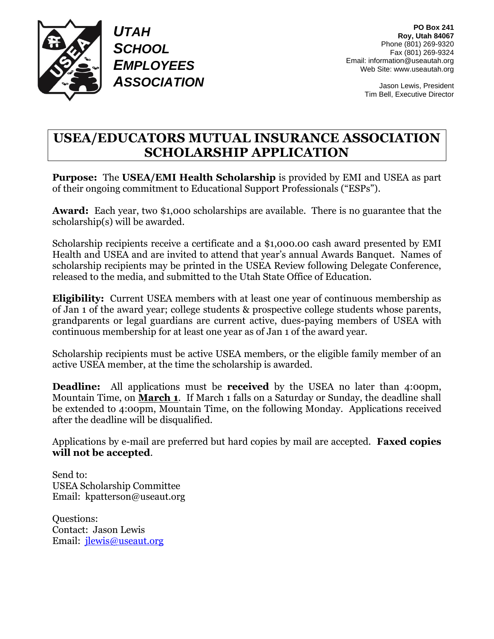

*UTAH SCHOOL EMPLOYEES ASSOCIATION*

**PO Box 241 Roy, Utah 84067** Phone (801) 269-9320 Fax (801) 269-9324 Email: information@useautah.org Web Site: www.useautah.org

> Jason Lewis, President Tim Bell, Executive Director

#### **USEA/EDUCATORS MUTUAL INSURANCE ASSOCIATION SCHOLARSHIP APPLICATION**

**Purpose:** The **USEA/EMI Health Scholarship** is provided by EMI and USEA as part of their ongoing commitment to Educational Support Professionals ("ESPs").

**Award:** Each year, two \$1,000 scholarships are available. There is no guarantee that the scholarship(s) will be awarded.

Scholarship recipients receive a certificate and a \$1,000.00 cash award presented by EMI Health and USEA and are invited to attend that year's annual Awards Banquet. Names of scholarship recipients may be printed in the USEA Review following Delegate Conference, released to the media, and submitted to the Utah State Office of Education.

**Eligibility:** Current USEA members with at least one year of continuous membership as of Jan 1 of the award year; college students & prospective college students whose parents, grandparents or legal guardians are current active, dues-paying members of USEA with continuous membership for at least one year as of Jan 1 of the award year.

Scholarship recipients must be active USEA members, or the eligible family member of an active USEA member, at the time the scholarship is awarded.

**Deadline:** All applications must be **received** by the USEA no later than 4:00pm, Mountain Time, on **March 1**. If March 1 falls on a Saturday or Sunday, the deadline shall be extended to 4:00pm, Mountain Time, on the following Monday. Applications received after the deadline will be disqualified.

Applications by e-mail are preferred but hard copies by mail are accepted. **Faxed copies will not be accepted**.

Send to: USEA Scholarship Committee Email: kpatterson@useaut.org

Questions: Contact: Jason Lewis Email: [jlewis@useaut.org](mailto:jlewis@useaut.org)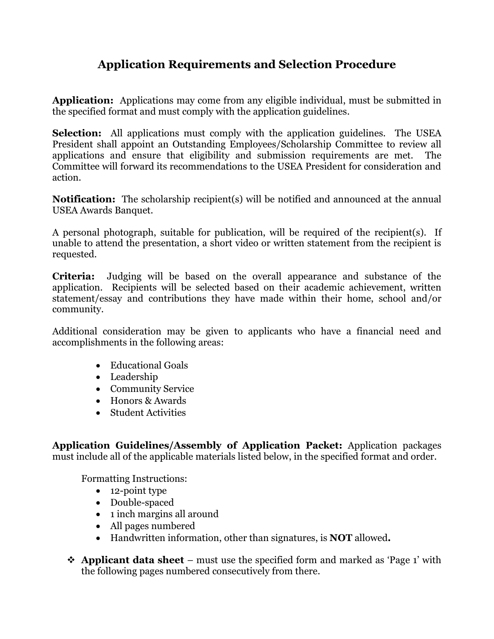#### **Application Requirements and Selection Procedure**

**Application:** Applications may come from any eligible individual, must be submitted in the specified format and must comply with the application guidelines.

**Selection:** All applications must comply with the application guidelines. The USEA President shall appoint an Outstanding Employees/Scholarship Committee to review all applications and ensure that eligibility and submission requirements are met. The Committee will forward its recommendations to the USEA President for consideration and action.

**Notification:** The scholarship recipient(s) will be notified and announced at the annual USEA Awards Banquet.

A personal photograph, suitable for publication, will be required of the recipient(s). If unable to attend the presentation, a short video or written statement from the recipient is requested.

**Criteria:** Judging will be based on the overall appearance and substance of the application. Recipients will be selected based on their academic achievement, written statement/essay and contributions they have made within their home, school and/or community.

Additional consideration may be given to applicants who have a financial need and accomplishments in the following areas:

- Educational Goals
- Leadership
- Community Service
- Honors & Awards
- Student Activities

**Application Guidelines/Assembly of Application Packet:** Application packages must include all of the applicable materials listed below, in the specified format and order.

Formatting Instructions:

- 12-point type
- Double-spaced
- 1 inch margins all around
- All pages numbered
- Handwritten information, other than signatures, is **NOT** allowed**.**
- ❖ **Applicant data sheet** must use the specified form and marked as 'Page 1' with the following pages numbered consecutively from there.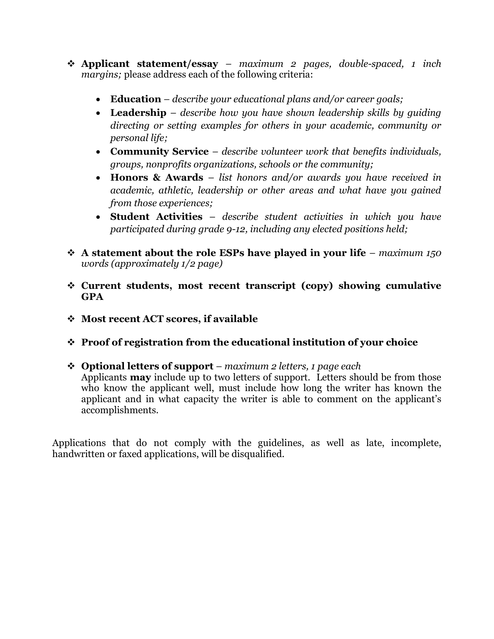- ❖ **Applicant statement/essay** *maximum 2 pages, double-spaced, 1 inch margins;* please address each of the following criteria:
	- **Education** *describe your educational plans and/or career goals;*
	- **Leadership** *describe how you have shown leadership skills by guiding directing or setting examples for others in your academic, community or personal life;*
	- **Community Service** *describe volunteer work that benefits individuals, groups, nonprofits organizations, schools or the community;*
	- **Honors & Awards** *list honors and/or awards you have received in academic, athletic, leadership or other areas and what have you gained from those experiences;*
	- **Student Activities** *describe student activities in which you have participated during grade 9-12, including any elected positions held;*
- ❖ **A statement about the role ESPs have played in your life** *maximum 150 words (approximately 1/2 page)*
- ❖ **Current students, most recent transcript (copy) showing cumulative GPA**
- ❖ **Most recent ACT scores, if available**
- ❖ **Proof of registration from the educational institution of your choice**
- ❖ **Optional letters of support** *maximum 2 letters, 1 page each*

Applicants **may** include up to two letters of support. Letters should be from those who know the applicant well, must include how long the writer has known the applicant and in what capacity the writer is able to comment on the applicant's accomplishments.

Applications that do not comply with the guidelines, as well as late, incomplete, handwritten or faxed applications, will be disqualified.